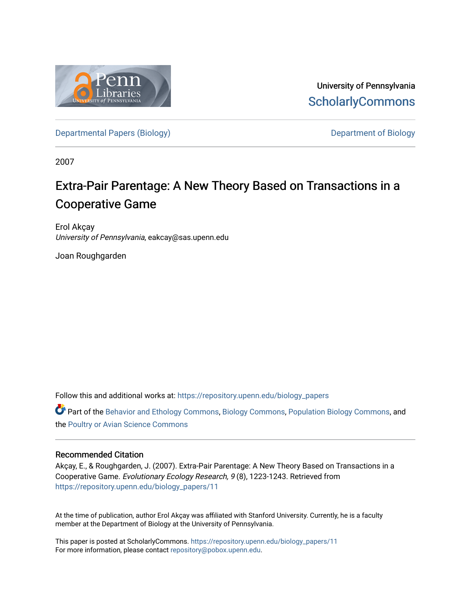

University of Pennsylvania **ScholarlyCommons** 

[Departmental Papers \(Biology\)](https://repository.upenn.edu/biology_papers) and Department of Biology

2007

# Extra-Pair Parentage: A New Theory Based on Transactions in a Cooperative Game

Erol Akçay University of Pennsylvania, eakcay@sas.upenn.edu

Joan Roughgarden

Follow this and additional works at: [https://repository.upenn.edu/biology\\_papers](https://repository.upenn.edu/biology_papers?utm_source=repository.upenn.edu%2Fbiology_papers%2F11&utm_medium=PDF&utm_campaign=PDFCoverPages) 

Part of the [Behavior and Ethology Commons,](http://network.bepress.com/hgg/discipline/15?utm_source=repository.upenn.edu%2Fbiology_papers%2F11&utm_medium=PDF&utm_campaign=PDFCoverPages) [Biology Commons,](http://network.bepress.com/hgg/discipline/41?utm_source=repository.upenn.edu%2Fbiology_papers%2F11&utm_medium=PDF&utm_campaign=PDFCoverPages) [Population Biology Commons,](http://network.bepress.com/hgg/discipline/19?utm_source=repository.upenn.edu%2Fbiology_papers%2F11&utm_medium=PDF&utm_campaign=PDFCoverPages) and the [Poultry or Avian Science Commons](http://network.bepress.com/hgg/discipline/80?utm_source=repository.upenn.edu%2Fbiology_papers%2F11&utm_medium=PDF&utm_campaign=PDFCoverPages)

## Recommended Citation

Akçay, E., & Roughgarden, J. (2007). Extra-Pair Parentage: A New Theory Based on Transactions in a Cooperative Game. Evolutionary Ecology Research, 9 (8), 1223-1243. Retrieved from [https://repository.upenn.edu/biology\\_papers/11](https://repository.upenn.edu/biology_papers/11?utm_source=repository.upenn.edu%2Fbiology_papers%2F11&utm_medium=PDF&utm_campaign=PDFCoverPages)

At the time of publication, author Erol Akçay was affiliated with Stanford University. Currently, he is a faculty member at the Department of Biology at the University of Pennsylvania.

This paper is posted at ScholarlyCommons. [https://repository.upenn.edu/biology\\_papers/11](https://repository.upenn.edu/biology_papers/11) For more information, please contact [repository@pobox.upenn.edu.](mailto:repository@pobox.upenn.edu)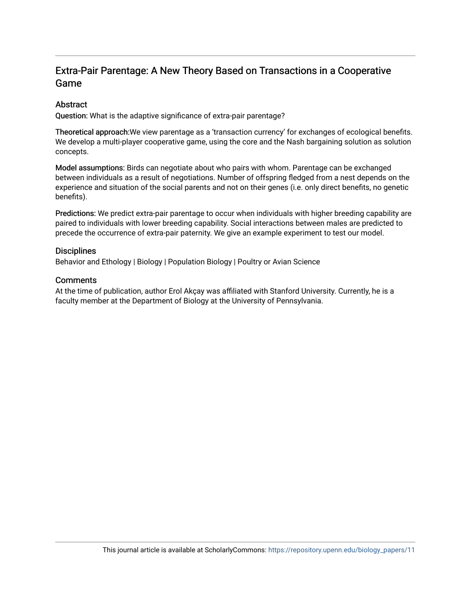# Extra-Pair Parentage: A New Theory Based on Transactions in a Cooperative Game

# **Abstract**

Question: What is the adaptive significance of extra-pair parentage?

Theoretical approach:We view parentage as a 'transaction currency' for exchanges of ecological benefits. We develop a multi-player cooperative game, using the core and the Nash bargaining solution as solution concepts.

Model assumptions: Birds can negotiate about who pairs with whom. Parentage can be exchanged between individuals as a result of negotiations. Number of offspring fledged from a nest depends on the experience and situation of the social parents and not on their genes (i.e. only direct benefits, no genetic benefits).

Predictions: We predict extra-pair parentage to occur when individuals with higher breeding capability are paired to individuals with lower breeding capability. Social interactions between males are predicted to precede the occurrence of extra-pair paternity. We give an example experiment to test our model.

## **Disciplines**

Behavior and Ethology | Biology | Population Biology | Poultry or Avian Science

## **Comments**

At the time of publication, author Erol Akçay was affiliated with Stanford University. Currently, he is a faculty member at the Department of Biology at the University of Pennsylvania.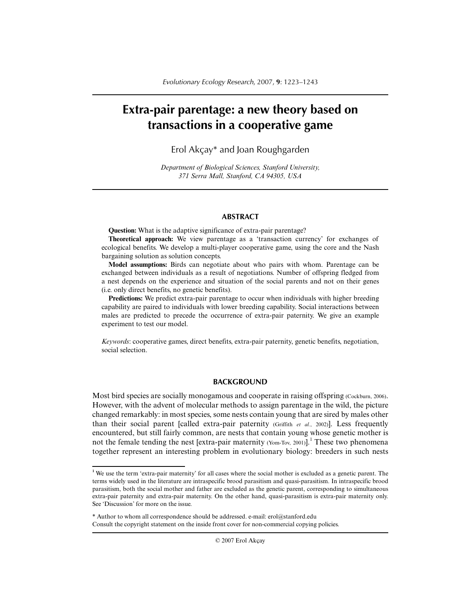# **Extra-pair parentage: a new theory based on transactions in a cooperative game**

Erol Akçay\* and Joan Roughgarden

*Department of Biological Sciences, Stanford University, 371 Serra Mall, Stanford, CA 94305, USA*

#### **ABSTRACT**

**Question:** What is the adaptive significance of extra-pair parentage?

**Theoretical approach:** We view parentage as a 'transaction currency' for exchanges of ecological benefits. We develop a multi-player cooperative game, using the core and the Nash bargaining solution as solution concepts.

**Model assumptions:** Birds can negotiate about who pairs with whom. Parentage can be exchanged between individuals as a result of negotiations. Number of offspring fledged from a nest depends on the experience and situation of the social parents and not on their genes (i.e. only direct benefits, no genetic benefits).

**Predictions:** We predict extra-pair parentage to occur when individuals with higher breeding capability are paired to individuals with lower breeding capability. Social interactions between males are predicted to precede the occurrence of extra-pair paternity. We give an example experiment to test our model.

*Keywords*: cooperative games, direct benefits, extra-pair paternity, genetic benefits, negotiation, social selection.

#### **BACKGROUND**

Most bird species are socially monogamous and cooperate in raising offspring (Cockburn, 2006). However, with the advent of molecular methods to assign parentage in the wild, the picture changed remarkably: in most species, some nests contain young that are sired by males other than their social parent [called extra-pair paternity (Griffith *et al.*, 2002)]. Less frequently encountered, but still fairly common, are nests that contain young whose genetic mother is not the female tending the nest [extra-pair maternity (Yom-Tov, 2001)].<sup>1</sup> These two phenomena together represent an interesting problem in evolutionary biology: breeders in such nests

\* Author to whom all correspondence should be addressed. e-mail: erol@stanford.edu Consult the copyright statement on the inside front cover for non-commercial copying policies.

**<sup>1</sup>** We use the term 'extra-pair maternity' for all cases where the social mother is excluded as a genetic parent. The terms widely used in the literature are intraspecific brood parasitism and quasi-parasitism. In intraspecific brood parasitism, both the social mother and father are excluded as the genetic parent, corresponding to simultaneous extra-pair paternity and extra-pair maternity. On the other hand, quasi-parasitism is extra-pair maternity only. See 'Discussion' for more on the issue.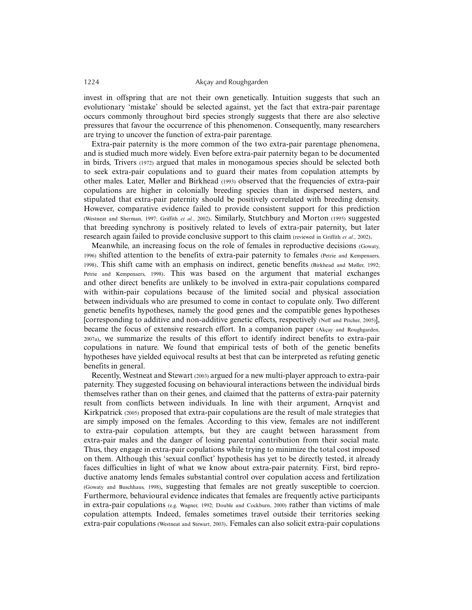invest in offspring that are not their own genetically. Intuition suggests that such an evolutionary 'mistake' should be selected against, yet the fact that extra-pair parentage occurs commonly throughout bird species strongly suggests that there are also selective pressures that favour the occurrence of this phenomenon. Consequently, many researchers are trying to uncover the function of extra-pair parentage.

Extra-pair paternity is the more common of the two extra-pair parentage phenomena, and is studied much more widely. Even before extra-pair paternity began to be documented in birds, Trivers (1972) argued that males in monogamous species should be selected both to seek extra-pair copulations and to guard their mates from copulation attempts by other males. Later, Møller and Birkhead (1993) observed that the frequencies of extra-pair copulations are higher in colonially breeding species than in dispersed nesters, and stipulated that extra-pair paternity should be positively correlated with breeding density. However, comparative evidence failed to provide consistent support for this prediction (Westneat and Sherman, 1997; Griffith *et al.*, 2002). Similarly, Stutchbury and Morton (1995) suggested that breeding synchrony is positively related to levels of extra-pair paternity, but later research again failed to provide conclusive support to this claim (reviewed in Griffith *et al.*, 2002).

Meanwhile, an increasing focus on the role of females in reproductive decisions (Gowaty, 1996) shifted attention to the benefits of extra-pair paternity to females (Petrie and Kempenaers, 1998). This shift came with an emphasis on indirect, genetic benefits (Birkhead and Møller, 1992; Petrie and Kempenaers, 1998). This was based on the argument that material exchanges and other direct benefits are unlikely to be involved in extra-pair copulations compared with within-pair copulations because of the limited social and physical association between individuals who are presumed to come in contact to copulate only. Two different genetic benefits hypotheses, namely the good genes and the compatible genes hypotheses [corresponding to additive and non-additive genetic effects, respectively (Neff and Pitcher, 2005)], became the focus of extensive research effort. In a companion paper (Akçay and Roughgarden, 2007a), we summarize the results of this effort to identify indirect benefits to extra-pair copulations in nature. We found that empirical tests of both of the genetic benefits hypotheses have yielded equivocal results at best that can be interpreted as refuting genetic benefits in general.

Recently, Westneat and Stewart (2003) argued for a new multi-player approach to extra-pair paternity. They suggested focusing on behavioural interactions between the individual birds themselves rather than on their genes, and claimed that the patterns of extra-pair paternity result from conflicts between individuals. In line with their argument, Arnqvist and Kirkpatrick (2005) proposed that extra-pair copulations are the result of male strategies that are simply imposed on the females. According to this view, females are not indifferent to extra-pair copulation attempts, but they are caught between harassment from extra-pair males and the danger of losing parental contribution from their social mate. Thus, they engage in extra-pair copulations while trying to minimize the total cost imposed on them. Although this 'sexual conflict' hypothesis has yet to be directly tested, it already faces difficulties in light of what we know about extra-pair paternity. First, bird reproductive anatomy lends females substantial control over copulation access and fertilization (Gowaty and Buschhaus, 1998), suggesting that females are not greatly susceptible to coercion. Furthermore, behavioural evidence indicates that females are frequently active participants in extra-pair copulations (e.g. Wagner, 1992; Double and Cockburn, 2000) rather than victims of male copulation attempts. Indeed, females sometimes travel outside their territories seeking extra-pair copulations (Westneat and Stewart, 2003). Females can also solicit extra-pair copulations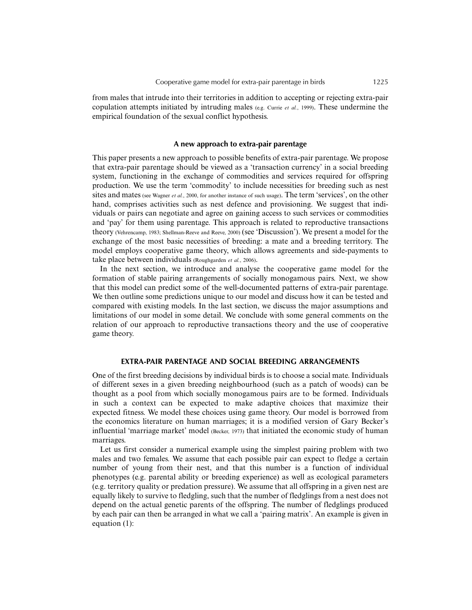from males that intrude into their territories in addition to accepting or rejecting extra-pair copulation attempts initiated by intruding males (e.g. Currie *et al.*, 1999). These undermine the empirical foundation of the sexual conflict hypothesis.

#### **A new approach to extra-pair parentage**

This paper presents a new approach to possible benefits of extra-pair parentage. We propose that extra-pair parentage should be viewed as a 'transaction currency' in a social breeding system, functioning in the exchange of commodities and services required for offspring production. We use the term 'commodity' to include necessities for breeding such as nest sites and mates (see Wagner *et al.*, 2000, for another instance of such usage). The term 'services', on the other hand, comprises activities such as nest defence and provisioning. We suggest that individuals or pairs can negotiate and agree on gaining access to such services or commodities and 'pay' for them using parentage. This approach is related to reproductive transactions theory (Vehrencamp, 1983; Shellman-Reeve and Reeve, 2000) (see 'Discussion'). We present a model for the exchange of the most basic necessities of breeding: a mate and a breeding territory. The model employs cooperative game theory, which allows agreements and side-payments to take place between individuals (Roughgarden *et al.*, 2006).

In the next section, we introduce and analyse the cooperative game model for the formation of stable pairing arrangements of socially monogamous pairs. Next, we show that this model can predict some of the well-documented patterns of extra-pair parentage. We then outline some predictions unique to our model and discuss how it can be tested and compared with existing models. In the last section, we discuss the major assumptions and limitations of our model in some detail. We conclude with some general comments on the relation of our approach to reproductive transactions theory and the use of cooperative game theory.

#### **EXTRA-PAIR PARENTAGE AND SOCIAL BREEDING ARRANGEMENTS**

One of the first breeding decisions by individual birds is to choose a social mate. Individuals of different sexes in a given breeding neighbourhood (such as a patch of woods) can be thought as a pool from which socially monogamous pairs are to be formed. Individuals in such a context can be expected to make adaptive choices that maximize their expected fitness. We model these choices using game theory. Our model is borrowed from the economics literature on human marriages; it is a modified version of Gary Becker's influential 'marriage market' model (Becker, 1973) that initiated the economic study of human marriages.

Let us first consider a numerical example using the simplest pairing problem with two males and two females. We assume that each possible pair can expect to fledge a certain number of young from their nest, and that this number is a function of individual phenotypes (e.g. parental ability or breeding experience) as well as ecological parameters (e.g. territory quality or predation pressure). We assume that all offspring in a given nest are equally likely to survive to fledgling, such that the number of fledglings from a nest does not depend on the actual genetic parents of the offspring. The number of fledglings produced by each pair can then be arranged in what we call a 'pairing matrix'. An example is given in equation (1):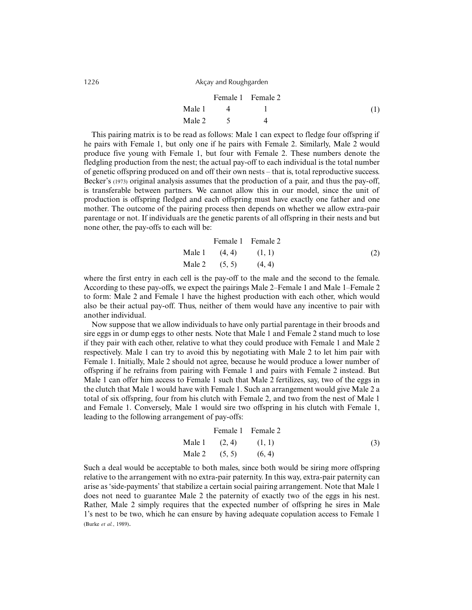|        | Female 1 Female 2 |     |
|--------|-------------------|-----|
| Male 1 |                   | (1) |
| Male 2 |                   |     |

This pairing matrix is to be read as follows: Male 1 can expect to fledge four offspring if he pairs with Female 1, but only one if he pairs with Female 2. Similarly, Male 2 would produce five young with Female 1, but four with Female 2. These numbers denote the fledgling production from the nest; the actual pay-off to each individual is the total number of genetic offspring produced on and off their own nests – that is, total reproductive success. Becker's (1973) original analysis assumes that the production of a pair, and thus the pay-off, is transferable between partners. We cannot allow this in our model, since the unit of production is offspring fledged and each offspring must have exactly one father and one mother. The outcome of the pairing process then depends on whether we allow extra-pair parentage or not. If individuals are the genetic parents of all offspring in their nests and but none other, the pay-offs to each will be:

Male 1 Male 2 Female 1 (4, 4) (5, 5) Female 2 (1, 1) (4, 4) (2)

where the first entry in each cell is the pay-off to the male and the second to the female. According to these pay-offs, we expect the pairings Male 2–Female 1 and Male 1–Female 2 to form: Male 2 and Female 1 have the highest production with each other, which would also be their actual pay-off. Thus, neither of them would have any incentive to pair with another individual.

Now suppose that we allow individuals to have only partial parentage in their broods and sire eggs in or dump eggs to other nests. Note that Male 1 and Female 2 stand much to lose if they pair with each other, relative to what they could produce with Female 1 and Male 2 respectively. Male 1 can try to avoid this by negotiating with Male 2 to let him pair with Female 1. Initially, Male 2 should not agree, because he would produce a lower number of offspring if he refrains from pairing with Female 1 and pairs with Female 2 instead. But Male 1 can offer him access to Female 1 such that Male 2 fertilizes, say, two of the eggs in the clutch that Male 1 would have with Female 1. Such an arrangement would give Male 2 a total of six offspring, four from his clutch with Female 2, and two from the nest of Male 1 and Female 1. Conversely, Male 1 would sire two offspring in his clutch with Female 1, leading to the following arrangement of pay-offs:

Male 1 Male 2 Female 1 (2, 4) (5, 5) Female 2 (1, 1) (6, 4) (3)

Such a deal would be acceptable to both males, since both would be siring more offspring relative to the arrangement with no extra-pair paternity. In this way, extra-pair paternity can arise as 'side-payments' that stabilize a certain social pairing arrangement. Note that Male 1 does not need to guarantee Male 2 the paternity of exactly two of the eggs in his nest. Rather, Male 2 simply requires that the expected number of offspring he sires in Male 1's nest to be two, which he can ensure by having adequate copulation access to Female 1 (Burke *et al.*, 1989).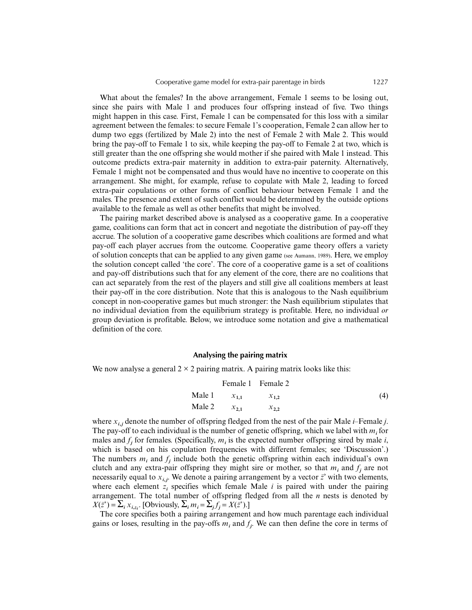What about the females? In the above arrangement, Female 1 seems to be losing out. since she pairs with Male 1 and produces four offspring instead of five. Two things might happen in this case. First, Female 1 can be compensated for this loss with a similar agreement between the females: to secure Female 1's cooperation, Female 2 can allow her to dump two eggs (fertilized by Male 2) into the nest of Female 2 with Male 2. This would bring the pay-off to Female 1 to six, while keeping the pay-off to Female 2 at two, which is still greater than the one offspring she would mother if she paired with Male 1 instead. This outcome predicts extra-pair maternity in addition to extra-pair paternity. Alternatively, Female 1 might not be compensated and thus would have no incentive to cooperate on this arrangement. She might, for example, refuse to copulate with Male 2, leading to forced extra-pair copulations or other forms of conflict behaviour between Female 1 and the males. The presence and extent of such conflict would be determined by the outside options available to the female as well as other benefits that might be involved.

The pairing market described above is analysed as a cooperative game. In a cooperative game, coalitions can form that act in concert and negotiate the distribution of pay-off they accrue. The solution of a cooperative game describes which coalitions are formed and what pay-off each player accrues from the outcome. Cooperative game theory offers a variety of solution concepts that can be applied to any given game (see Aumann, 1989). Here, we employ the solution concept called 'the core'. The core of a cooperative game is a set of coalitions and pay-off distributions such that for any element of the core, there are no coalitions that can act separately from the rest of the players and still give all coalitions members at least their pay-off in the core distribution. Note that this is analogous to the Nash equilibrium concept in non-cooperative games but much stronger: the Nash equilibrium stipulates that no individual deviation from the equilibrium strategy is profitable. Here, no individual *or* group deviation is profitable. Below, we introduce some notation and give a mathematical definition of the core.

#### **Analysing the pairing matrix**

We now analyse a general  $2 \times 2$  pairing matrix. A pairing matrix looks like this:

|                  | Female 1 Female 2 |                   |
|------------------|-------------------|-------------------|
| Male 1 $x_{1,1}$ | $x_{1,2}$         | $\left( 4\right)$ |
| Male 2 $x_{2,1}$ | $x_{2,2}$         |                   |

where *xi***,** *<sup>j</sup>* denote the number of offspring fledged from the nest of the pair Male *i*–Female *j*. The pay-off to each individual is the number of genetic offspring, which we label with *m<sup>i</sup>* for males and  $f_j$  for females. (Specifically,  $m_i$  is the expected number offspring sired by male *i*, which is based on his copulation frequencies with different females; see 'Discussion'.) The numbers  $m_i$  and  $f_j$  include both the genetic offspring within each individual's own clutch and any extra-pair offspring they might sire or mother, so that  $m_i$  and  $f_j$  are not necessarily equal to  $x_{i,j}$ . We denote a pairing arrangement by a vector  $\vec{z}$  with two elements, where each element  $z_i$  specifies which female Male  $i$  is paired with under the pairing arrangement. The total number of offspring fledged from all the *n* nests is denoted by  $X(\vec{z}) = \sum_i x_{i, z_i}$ . [Obviously,  $\sum_i m_i = \sum_j f_j = X(\vec{z})$ .]

The core specifies both a pairing arrangement and how much parentage each individual gains or loses, resulting in the pay-offs  $m_i$  and  $f_j$ . We can then define the core in terms of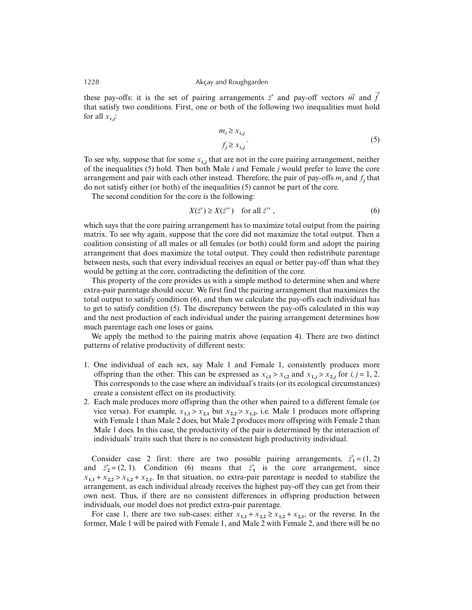these pay-offs: it is the set of pairing arrangements  $\vec{z}$  and pay-off vectors  $\vec{m}$  and  $\vec{f}$ that satisfy two conditions. First, one or both of the following two inequalities must hold for all  $x_{i,j}$ :

$$
m_i \ge x_{i,j}
$$
  
\n
$$
f_j \ge x_{i,j}.
$$
\n(5)

To see why, suppose that for some  $x_{i,j}$  that are not in the core pairing arrangement, neither of the inequalities (5) hold. Then both Male *i* and Female *j* would prefer to leave the core arrangement and pair with each other instead. Therefore, the pair of pay-offs  $m_i$  and  $f_j$  that do not satisfy either (or both) of the inequalities (5) cannot be part of the core.

The second condition for the core is the following:

$$
X(\vec{z}') \ge X(\vec{z}') \quad \text{for all } \vec{z}', \tag{6}
$$

which says that the core pairing arrangement has to maximize total output from the pairing matrix. To see why again, suppose that the core did not maximize the total output. Then a coalition consisting of all males or all females (or both) could form and adopt the pairing arrangement that does maximize the total output. They could then redistribute parentage between nests, such that every individual receives an equal or better pay-off than what they would be getting at the core, contradicting the definition of the core.

This property of the core provides us with a simple method to determine when and where extra-pair parentage should occur. We first find the pairing arrangement that maximizes the total output to satisfy condition (6), and then we calculate the pay-offs each individual has to get to satisfy condition (5). The discrepancy between the pay-offs calculated in this way and the nest production of each individual under the pairing arrangement determines how much parentage each one loses or gains.

We apply the method to the pairing matrix above (equation 4). There are two distinct patterns of relative productivity of different nests:

- 1. One individual of each sex, say Male 1 and Female 1, consistently produces more offspring than the other. This can be expressed as  $x_{i,1} > x_{i,2}$  and  $x_{1,j} > x_{2,j}$  for  $i, j = 1, 2$ . This corresponds to the case where an individual's traits (or its ecological circumstances) create a consistent effect on its productivity.
- 2. Each male produces more offspring than the other when paired to a different female (or vice versa). For example,  $x_{1,1} > x_{2,1}$  but  $x_{2,2} > x_{1,2}$ , i.e. Male 1 produces more offspring with Female 1 than Male 2 does, but Male 2 produces more offspring with Female 2 than Male 1 does. In this case, the productivity of the pair is determined by the interaction of individuals' traits such that there is no consistent high productivity individual.

Consider case 2 first: there are two possible pairing arrangements,  $\vec{z}_1 = (1, 2)$ and  $\vec{z}_2 = (2, 1)$ . Condition (6) means that  $\vec{z}_1$  is the core arrangement, since  $x_{1,1} + x_{2,2} > x_{1,2} + x_{2,1}$ . In that situation, no extra-pair parentage is needed to stabilize the arrangement, as each individual already receives the highest pay-off they can get from their own nest. Thus, if there are no consistent differences in offspring production between individuals, our model does not predict extra-pair parentage.

For case 1, there are two sub-cases: either  $x_{1,1} + x_{2,2} \ge x_{1,2} + x_{2,1}$ , or the reverse. In the former, Male 1 will be paired with Female 1, and Male 2 with Female 2, and there will be no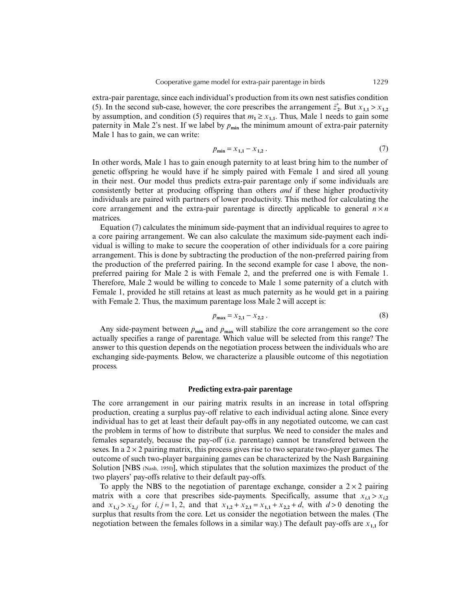extra-pair parentage, since each individual's production from its own nest satisfies condition (5). In the second sub-case, however, the core prescribes the arrangement  $\vec{z}_2$ . But  $x_{1,1} > x_{1,2}$ by assumption, and condition (5) requires that  $m_1 \ge x_{1,1}$ . Thus, Male 1 needs to gain some paternity in Male 2's nest. If we label by  $p_{\text{min}}$  the minimum amount of extra-pair paternity Male 1 has to gain, we can write:

$$
p_{\min} = x_{1,1} - x_{1,2} \tag{7}
$$

In other words, Male 1 has to gain enough paternity to at least bring him to the number of genetic offspring he would have if he simply paired with Female 1 and sired all young in their nest. Our model thus predicts extra-pair parentage only if some individuals are consistently better at producing offspring than others *and* if these higher productivity individuals are paired with partners of lower productivity. This method for calculating the core arrangement and the extra-pair parentage is directly applicable to general  $n \times n$ matrices.

Equation (7) calculates the minimum side-payment that an individual requires to agree to a core pairing arrangement. We can also calculate the maximum side-payment each individual is willing to make to secure the cooperation of other individuals for a core pairing arrangement. This is done by subtracting the production of the non-preferred pairing from the production of the preferred pairing. In the second example for case 1 above, the nonpreferred pairing for Male 2 is with Female 2, and the preferred one is with Female 1. Therefore, Male 2 would be willing to concede to Male 1 some paternity of a clutch with Female 1, provided he still retains at least as much paternity as he would get in a pairing with Female 2. Thus, the maximum parentage loss Male 2 will accept is:

$$
p_{\max} = x_{2,1} - x_{2,2} \tag{8}
$$

Any side-payment between  $p_{\text{min}}$  and  $p_{\text{max}}$  will stabilize the core arrangement so the core actually specifies a range of parentage. Which value will be selected from this range? The answer to this question depends on the negotiation process between the individuals who are exchanging side-payments. Below, we characterize a plausible outcome of this negotiation process.

#### **Predicting extra-pair parentage**

The core arrangement in our pairing matrix results in an increase in total offspring production, creating a surplus pay-off relative to each individual acting alone. Since every individual has to get at least their default pay-offs in any negotiated outcome, we can cast the problem in terms of how to distribute that surplus. We need to consider the males and females separately, because the pay-off (i.e. parentage) cannot be transfered between the sexes. In a  $2 \times 2$  pairing matrix, this process gives rise to two separate two-player games. The outcome of such two-player bargaining games can be characterized by the Nash Bargaining Solution [NBS (Nash, 1950)], which stipulates that the solution maximizes the product of the two players' pay-offs relative to their default pay-offs.

To apply the NBS to the negotiation of parentage exchange, consider a  $2 \times 2$  pairing matrix with a core that prescribes side-payments. Specifically, assume that  $x_{i,1} > x_{i,2}$ and  $x_{1,j} > x_{2,j}$  for  $i, j = 1, 2$ , and that  $x_{1,2} + x_{2,1} = x_{1,1} + x_{2,2} + d$ , with  $d > 0$  denoting the surplus that results from the core. Let us consider the negotiation between the males. (The negotiation between the females follows in a similar way.) The default pay-offs are  $x_{1,1}$  for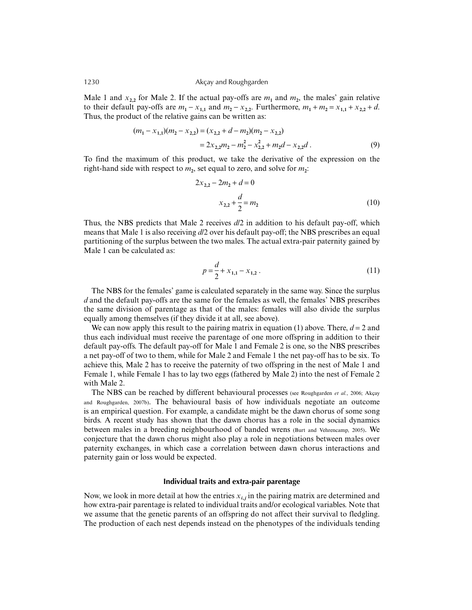Male 1 and  $x_{2,2}$  for Male 2. If the actual pay-offs are  $m_1$  and  $m_2$ , the males' gain relative to their default pay-offs are  $m_1 - x_{1,1}$  and  $m_2 - x_{2,2}$ . Furthermore,  $m_1 + m_2 = x_{1,1} + x_{2,2} + d$ . Thus, the product of the relative gains can be written as:

$$
(m_1 - x_{1,1})(m_2 - x_{2,2}) = (x_{2,2} + d - m_2)(m_2 - x_{2,2})
$$
  
=  $2x_{2,2}m_2 - m_2^2 - x_{2,2}^2 + m_2d - x_{2,2}d$ . (9)

To find the maximum of this product, we take the derivative of the expression on the right-hand side with respect to  $m_2$ , set equal to zero, and solve for  $m_2$ :

$$
2x_{2,2} - 2m_2 + d = 0
$$
  

$$
x_{2,2} + \frac{d}{2} = m_2
$$
 (10)

Thus, the NBS predicts that Male 2 receives *d*/2 in addition to his default pay-off, which means that Male 1 is also receiving *d*/2 over his default pay-off; the NBS prescribes an equal partitioning of the surplus between the two males. The actual extra-pair paternity gained by Male 1 can be calculated as:

$$
p = \frac{d}{2} + x_{1,1} - x_{1,2} \,. \tag{11}
$$

The NBS for the females' game is calculated separately in the same way. Since the surplus *d* and the default pay-offs are the same for the females as well, the females' NBS prescribes the same division of parentage as that of the males: females will also divide the surplus equally among themselves (if they divide it at all, see above).

We can now apply this result to the pairing matrix in equation (1) above. There,  $d = 2$  and thus each individual must receive the parentage of one more offspring in addition to their default pay-offs. The default pay-off for Male 1 and Female 2 is one, so the NBS prescribes a net pay-off of two to them, while for Male 2 and Female 1 the net pay-off has to be six. To achieve this, Male 2 has to receive the paternity of two offspring in the nest of Male 1 and Female 1, while Female 1 has to lay two eggs (fathered by Male 2) into the nest of Female 2 with Male 2.

The NBS can be reached by different behavioural processes (see Roughgarden *et al.*, 2006; Akçay and Roughgarden, 2007b). The behavioural basis of how individuals negotiate an outcome is an empirical question. For example, a candidate might be the dawn chorus of some song birds. A recent study has shown that the dawn chorus has a role in the social dynamics between males in a breeding neighbourhood of banded wrens (Burt and Vehrencamp, 2005). We conjecture that the dawn chorus might also play a role in negotiations between males over paternity exchanges, in which case a correlation between dawn chorus interactions and paternity gain or loss would be expected.

#### **Individual traits and extra-pair parentage**

Now, we look in more detail at how the entries  $x_{i,j}$  in the pairing matrix are determined and how extra-pair parentage is related to individual traits and/or ecological variables. Note that we assume that the genetic parents of an offspring do not affect their survival to fledgling. The production of each nest depends instead on the phenotypes of the individuals tending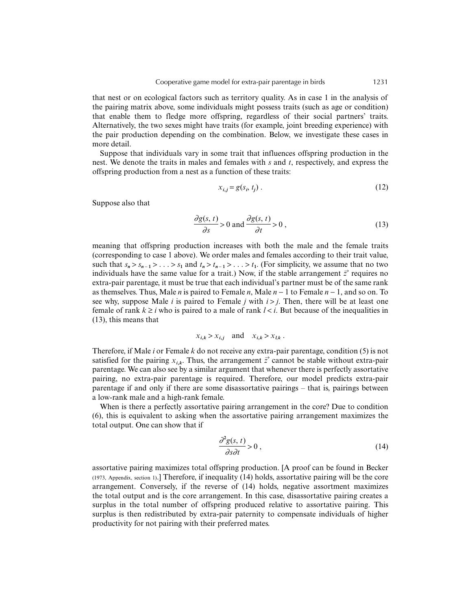that nest or on ecological factors such as territory quality. As in case 1 in the analysis of the pairing matrix above, some individuals might possess traits (such as age or condition) that enable them to fledge more offspring, regardless of their social partners' traits. Alternatively, the two sexes might have traits (for example, joint breeding experience) with the pair production depending on the combination. Below, we investigate these cases in more detail.

Suppose that individuals vary in some trait that influences offspring production in the nest. We denote the traits in males and females with *s* and *t*, respectively, and express the offspring production from a nest as a function of these traits:

$$
x_{i,j} = g(s_i, t_j) \tag{12}
$$

Suppose also that

$$
\frac{\partial g(s, t)}{\partial s} > 0 \text{ and } \frac{\partial g(s, t)}{\partial t} > 0,
$$
\n(13)

meaning that offspring production increases with both the male and the female traits (corresponding to case 1 above). We order males and females according to their trait value, such that  $s_n > s_{n-1} > \ldots > s_1$  and  $t_n > t_{n-1} > \ldots > t_1$ . (For simplicity, we assume that no two individuals have the same value for a trait.) Now, if the stable arrangement  $\vec{z}$  requires no extra-pair parentage, it must be true that each individual's partner must be of the same rank as themselves. Thus, Male *n* is paired to Female *n*, Male *n* − 1 to Female *n* − 1, and so on. To see why, suppose Male *i* is paired to Female *j* with  $i > j$ . Then, there will be at least one female of rank  $k \ge i$  who is paired to a male of rank  $l < i$ . But because of the inequalities in (13), this means that

$$
x_{i,k} > x_{i,j} \quad \text{and} \quad x_{i,k} > x_{l,k} \ .
$$

Therefore, if Male *i* or Female *k* do not receive any extra-pair parentage, condition (5) is not satisfied for the pairing  $x_{i,k}$ . Thus, the arrangement  $\vec{z}$  cannot be stable without extra-pair parentage. We can also see by a similar argument that whenever there is perfectly assortative pairing, no extra-pair parentage is required. Therefore, our model predicts extra-pair parentage if and only if there are some disassortative pairings – that is, pairings between a low-rank male and a high-rank female.

When is there a perfectly assortative pairing arrangement in the core? Due to condition (6), this is equivalent to asking when the assortative pairing arrangement maximizes the total output. One can show that if

$$
\frac{\partial^2 g(s,t)}{\partial s \partial t} > 0 , \qquad (14)
$$

assortative pairing maximizes total offspring production. [A proof can be found in Becker (1973, Appendix, section 1).] Therefore, if inequality (14) holds, assortative pairing will be the core arrangement. Conversely, if the reverse of (14) holds, negative assortment maximizes the total output and is the core arrangement. In this case, disassortative pairing creates a surplus in the total number of offspring produced relative to assortative pairing. This surplus is then redistributed by extra-pair paternity to compensate individuals of higher productivity for not pairing with their preferred mates.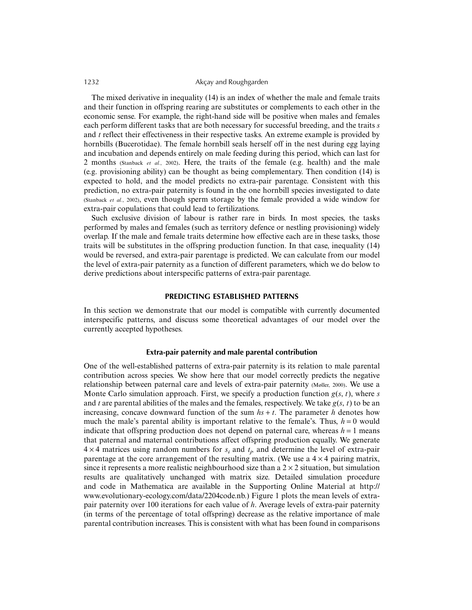The mixed derivative in inequality (14) is an index of whether the male and female traits and their function in offspring rearing are substitutes or complements to each other in the economic sense. For example, the right-hand side will be positive when males and females each perform different tasks that are both necessary for successful breeding, and the traits *s* and *t* reflect their effectiveness in their respective tasks. An extreme example is provided by hornbills (Bucerotidae). The female hornbill seals herself off in the nest during egg laying and incubation and depends entirely on male feeding during this period, which can last for 2 months (Stanback *et al.*, 2002). Here, the traits of the female (e.g. health) and the male (e.g. provisioning ability) can be thought as being complementary. Then condition (14) is expected to hold, and the model predicts no extra-pair parentage. Consistent with this prediction, no extra-pair paternity is found in the one hornbill species investigated to date (Stanback *et al.*, 2002), even though sperm storage by the female provided a wide window for extra-pair copulations that could lead to fertilizations.

Such exclusive division of labour is rather rare in birds. In most species, the tasks performed by males and females (such as territory defence or nestling provisioning) widely overlap. If the male and female traits determine how effective each are in these tasks, those traits will be substitutes in the offspring production function. In that case, inequality (14) would be reversed, and extra-pair parentage is predicted. We can calculate from our model the level of extra-pair paternity as a function of different parameters, which we do below to derive predictions about interspecific patterns of extra-pair parentage.

#### **PREDICTING ESTABLISHED PATTERNS**

In this section we demonstrate that our model is compatible with currently documented interspecific patterns, and discuss some theoretical advantages of our model over the currently accepted hypotheses.

#### **Extra-pair paternity and male parental contribution**

One of the well-established patterns of extra-pair paternity is its relation to male parental contribution across species. We show here that our model correctly predicts the negative relationship between paternal care and levels of extra-pair paternity (Møller, 2000). We use a Monte Carlo simulation approach. First, we specify a production function *g*(*s*, *t*), where *s* and *t* are parental abilities of the males and the females, respectively. We take  $g(s, t)$  to be an increasing, concave downward function of the sum  $hs + t$ . The parameter *h* denotes how much the male's parental ability is important relative to the female's. Thus,  $h = 0$  would indicate that offspring production does not depend on paternal care, whereas  $h = 1$  means that paternal and maternal contributions affect offspring production equally. We generate  $4 \times 4$  matrices using random numbers for  $s_i$  and  $t_j$ , and determine the level of extra-pair parentage at the core arrangement of the resulting matrix. (We use a  $4 \times 4$  pairing matrix, since it represents a more realistic neighbourhood size than a  $2 \times 2$  situation, but simulation results are qualitatively unchanged with matrix size. Detailed simulation procedure and code in Mathematica are available in the Supporting Online Material at http:// www.evolutionary-ecology.com/data/2204code.nb.) Figure 1 plots the mean levels of extrapair paternity over 100 iterations for each value of *h*. Average levels of extra-pair paternity (in terms of the percentage of total offspring) decrease as the relative importance of male parental contribution increases. This is consistent with what has been found in comparisons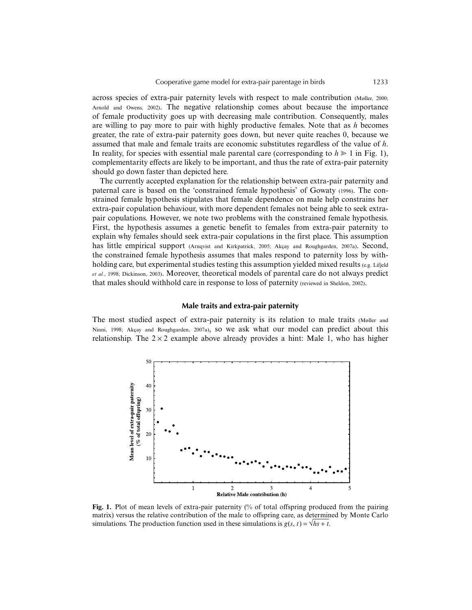across species of extra-pair paternity levels with respect to male contribution (Møller, 2000; Arnold and Owens, 2002). The negative relationship comes about because the importance of female productivity goes up with decreasing male contribution. Consequently, males are willing to pay more to pair with highly productive females. Note that as *h* becomes greater, the rate of extra-pair paternity goes down, but never quite reaches 0, because we assumed that male and female traits are economic substitutes regardless of the value of *h*. In reality, for species with essential male parental care (corresponding to  $h \geq 1$  in Fig. 1), complementarity effects are likely to be important, and thus the rate of extra-pair paternity should go down faster than depicted here.

The currently accepted explanation for the relationship between extra-pair paternity and paternal care is based on the 'constrained female hypothesis' of Gowaty (1996). The constrained female hypothesis stipulates that female dependence on male help constrains her extra-pair copulation behaviour, with more dependent females not being able to seek extrapair copulations. However, we note two problems with the constrained female hypothesis. First, the hypothesis assumes a genetic benefit to females from extra-pair paternity to explain why females should seek extra-pair copulations in the first place. This assumption has little empirical support (Arnqvist and Kirkpatrick, 2005; Akcay and Roughgarden, 2007a). Second, the constrained female hypothesis assumes that males respond to paternity loss by withholding care, but experimental studies testing this assumption vielded mixed results (e.g. Lifjeld *et al.*, 1998; Dickinson, 2003). Moreover, theoretical models of parental care do not always predict that males should withhold care in response to loss of paternity (reviewed in Sheldon, 2002).

#### **Male traits and extra-pair paternity**

The most studied aspect of extra-pair paternity is its relation to male traits (Møller and Ninni, 1998; Akçay and Roughgarden, 2007a), so we ask what our model can predict about this relationship. The  $2 \times 2$  example above already provides a hint: Male 1, who has higher



**Fig. 1.** Plot of mean levels of extra-pair paternity (% of total offspring produced from the pairing matrix) versus the relative contribution of the male to offspring care, as determined by Monte Carlo simulations. The production function used in these simulations is  $g(s, t) = \sqrt{h s + t}$ .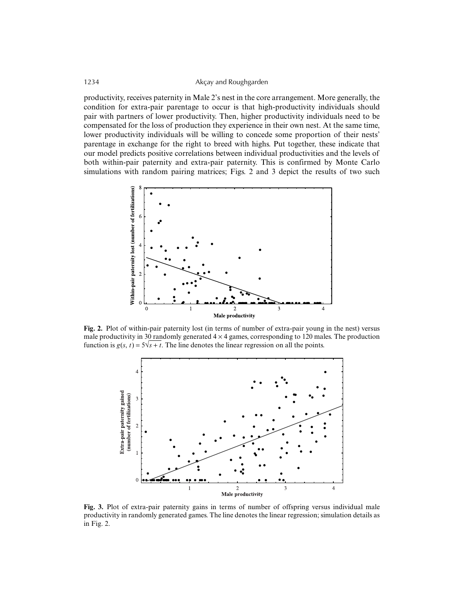productivity, receives paternity in Male 2's nest in the core arrangement. More generally, the condition for extra-pair parentage to occur is that high-productivity individuals should pair with partners of lower productivity. Then, higher productivity individuals need to be compensated for the loss of production they experience in their own nest. At the same time, lower productivity individuals will be willing to concede some proportion of their nests' parentage in exchange for the right to breed with highs. Put together, these indicate that our model predicts positive correlations between individual productivities and the levels of both within-pair paternity and extra-pair paternity. This is confirmed by Monte Carlo simulations with random pairing matrices; Figs. 2 and 3 depict the results of two such



**Fig. 2.** Plot of within-pair paternity lost (in terms of number of extra-pair young in the nest) versus male productivity in 30 randomly generated  $4 \times 4$  games, corresponding to 120 males. The production function is  $g(s, t) = 5\sqrt{s} + t$ . The line denotes the linear regression on all the points.



**Fig. 3.** Plot of extra-pair paternity gains in terms of number of offspring versus individual male productivity in randomly generated games. The line denotes the linear regression; simulation details as in Fig. 2.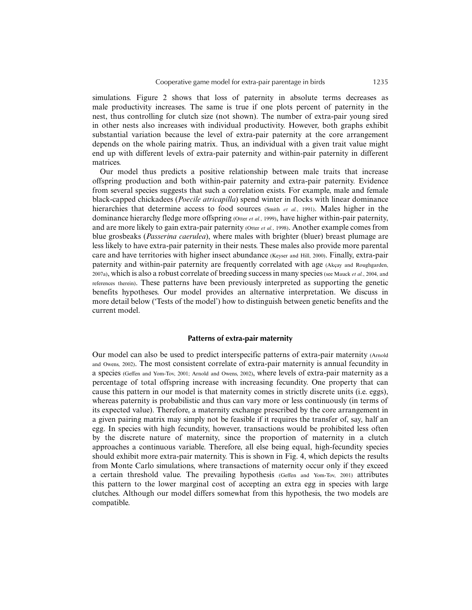simulations. Figure 2 shows that loss of paternity in absolute terms decreases as male productivity increases. The same is true if one plots percent of paternity in the nest, thus controlling for clutch size (not shown). The number of extra-pair young sired in other nests also increases with individual productivity. However, both graphs exhibit substantial variation because the level of extra-pair paternity at the core arrangement depends on the whole pairing matrix. Thus, an individual with a given trait value might end up with different levels of extra-pair paternity and within-pair paternity in different matrices.

Our model thus predicts a positive relationship between male traits that increase offspring production and both within-pair paternity and extra-pair paternity. Evidence from several species suggests that such a correlation exists. For example, male and female black-capped chickadees (*Poecile atricapilla*) spend winter in flocks with linear dominance hierarchies that determine access to food sources (Smith *et al.*, 1991). Males higher in the dominance hierarchy fledge more offspring (Otter *et al.*, 1999), have higher within-pair paternity, and are more likely to gain extra-pair paternity (Otter *et al.*, 1998). Another example comes from blue grosbeaks (*Passerina caerulea*), where males with brighter (bluer) breast plumage are less likely to have extra-pair paternity in their nests. These males also provide more parental care and have territories with higher insect abundance (Keyser and Hill, 2000). Finally, extra-pair paternity and within-pair paternity are frequently correlated with age (Akçay and Roughgarden, 2007a), which is also a robust correlate of breeding success in many species (see Mauck *et al.*, 2004, and references therein). These patterns have been previously interpreted as supporting the genetic benefits hypotheses. Our model provides an alternative interpretation. We discuss in more detail below ('Tests of the model') how to distinguish between genetic benefits and the current model.

#### **Patterns of extra-pair maternity**

Our model can also be used to predict interspecific patterns of extra-pair maternity (Arnold and Owens, 2002). The most consistent correlate of extra-pair maternity is annual fecundity in a species (Geffen and Yom-Tov, 2001; Arnold and Owens, 2002), where levels of extra-pair maternity as a percentage of total offspring increase with increasing fecundity. One property that can cause this pattern in our model is that maternity comes in strictly discrete units (i.e. eggs), whereas paternity is probabilistic and thus can vary more or less continuously (in terms of its expected value). Therefore, a maternity exchange prescribed by the core arrangement in a given pairing matrix may simply not be feasible if it requires the transfer of, say, half an egg. In species with high fecundity, however, transactions would be prohibited less often by the discrete nature of maternity, since the proportion of maternity in a clutch approaches a continuous variable. Therefore, all else being equal, high-fecundity species should exhibit more extra-pair maternity. This is shown in Fig. 4, which depicts the results from Monte Carlo simulations, where transactions of maternity occur only if they exceed a certain threshold value. The prevailing hypothesis (Geffen and Yom-Tov, 2001) attributes this pattern to the lower marginal cost of accepting an extra egg in species with large clutches. Although our model differs somewhat from this hypothesis, the two models are compatible.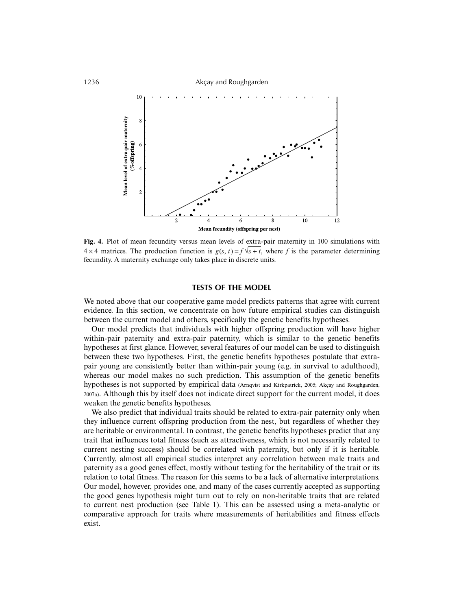

**Fig. 4.** Plot of mean fecundity versus mean levels of extra-pair maternity in 100 simulations with  $4 \times 4$  matrices. The production function is  $g(s, t) = f\sqrt{s + t}$ , where f is the parameter determining fecundity. A maternity exchange only takes place in discrete units.

#### **TESTS OF THE MODEL**

We noted above that our cooperative game model predicts patterns that agree with current evidence. In this section, we concentrate on how future empirical studies can distinguish between the current model and others, specifically the genetic benefits hypotheses.

Our model predicts that individuals with higher offspring production will have higher within-pair paternity and extra-pair paternity, which is similar to the genetic benefits hypotheses at first glance. However, several features of our model can be used to distinguish between these two hypotheses. First, the genetic benefits hypotheses postulate that extrapair young are consistently better than within-pair young (e.g. in survival to adulthood), whereas our model makes no such prediction. This assumption of the genetic benefits hypotheses is not supported by empirical data (Arnqvist and Kirkpatrick, 2005; Akçay and Roughgarden, 2007a). Although this by itself does not indicate direct support for the current model, it does weaken the genetic benefits hypotheses.

We also predict that individual traits should be related to extra-pair paternity only when they influence current offspring production from the nest, but regardless of whether they are heritable or environmental. In contrast, the genetic benefits hypotheses predict that any trait that influences total fitness (such as attractiveness, which is not necessarily related to current nesting success) should be correlated with paternity, but only if it is heritable. Currently, almost all empirical studies interpret any correlation between male traits and paternity as a good genes effect, mostly without testing for the heritability of the trait or its relation to total fitness. The reason for this seems to be a lack of alternative interpretations. Our model, however, provides one, and many of the cases currently accepted as supporting the good genes hypothesis might turn out to rely on non-heritable traits that are related to current nest production (see Table 1). This can be assessed using a meta-analytic or comparative approach for traits where measurements of heritabilities and fitness effects exist.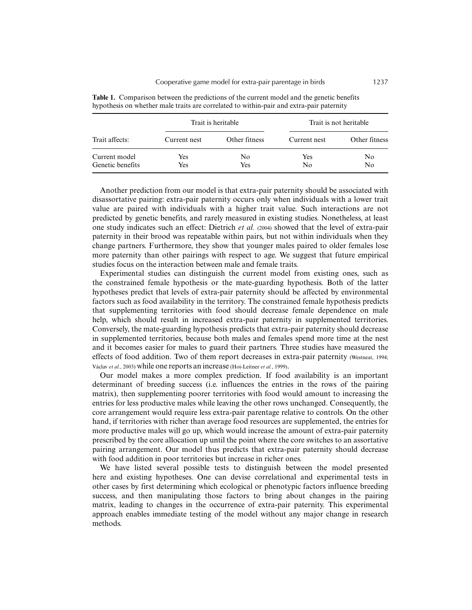|                  |              | Trait is heritable | Trait is not heritable |                |
|------------------|--------------|--------------------|------------------------|----------------|
| Trait affects:   | Current nest | Other fitness      | Current nest           | Other fitness  |
| Current model    | Yes          | No                 | Yes                    | No             |
| Genetic benefits | Yes          | Yes                | No                     | N <sub>0</sub> |

**Table 1.** Comparison between the predictions of the current model and the genetic benefits hypothesis on whether male traits are correlated to within-pair and extra-pair paternity

Another prediction from our model is that extra-pair paternity should be associated with disassortative pairing: extra-pair paternity occurs only when individuals with a lower trait value are paired with individuals with a higher trait value. Such interactions are not predicted by genetic benefits, and rarely measured in existing studies. Nonetheless, at least one study indicates such an effect: Dietrich *et al.* (2004) showed that the level of extra-pair paternity in their brood was repeatable within pairs, but not within individuals when they change partners. Furthermore, they show that younger males paired to older females lose more paternity than other pairings with respect to age. We suggest that future empirical studies focus on the interaction between male and female traits.

Experimental studies can distinguish the current model from existing ones, such as the constrained female hypothesis or the mate-guarding hypothesis. Both of the latter hypotheses predict that levels of extra-pair paternity should be affected by environmental factors such as food availability in the territory. The constrained female hypothesis predicts that supplementing territories with food should decrease female dependence on male help, which should result in increased extra-pair paternity in supplemented territories. Conversely, the mate-guarding hypothesis predicts that extra-pair paternity should decrease in supplemented territories, because both males and females spend more time at the nest and it becomes easier for males to guard their partners. Three studies have measured the effects of food addition. Two of them report decreases in extra-pair paternity (Westneat, 1994; Václav *et al.*, 2003) while one reports an increase (Hoi-Leitner *et al.*, 1999).

Our model makes a more complex prediction. If food availability is an important determinant of breeding success (i.e. influences the entries in the rows of the pairing matrix), then supplementing poorer territories with food would amount to increasing the entries for less productive males while leaving the other rows unchanged. Consequently, the core arrangement would require less extra-pair parentage relative to controls. On the other hand, if territories with richer than average food resources are supplemented, the entries for more productive males will go up, which would increase the amount of extra-pair paternity prescribed by the core allocation up until the point where the core switches to an assortative pairing arrangement. Our model thus predicts that extra-pair paternity should decrease with food addition in poor territories but increase in richer ones.

We have listed several possible tests to distinguish between the model presented here and existing hypotheses. One can devise correlational and experimental tests in other cases by first determining which ecological or phenotypic factors influence breeding success, and then manipulating those factors to bring about changes in the pairing matrix, leading to changes in the occurrence of extra-pair paternity. This experimental approach enables immediate testing of the model without any major change in research methods.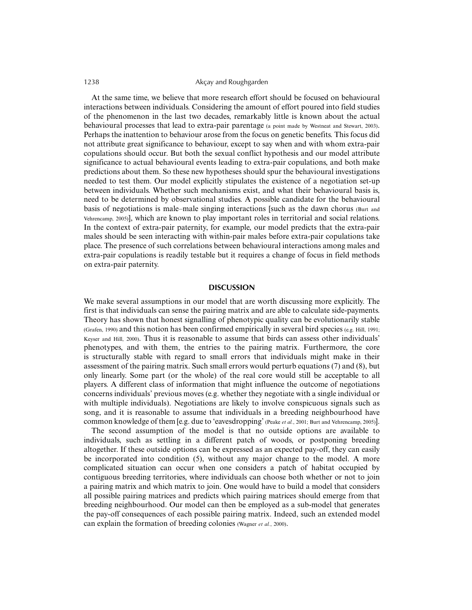At the same time, we believe that more research effort should be focused on behavioural interactions between individuals. Considering the amount of effort poured into field studies of the phenomenon in the last two decades, remarkably little is known about the actual behavioural processes that lead to extra-pair parentage (a point made by Westneat and Stewart, 2003). Perhaps the inattention to behaviour arose from the focus on genetic benefits. This focus did not attribute great significance to behaviour, except to say when and with whom extra-pair copulations should occur. But both the sexual conflict hypothesis and our model attribute significance to actual behavioural events leading to extra-pair copulations, and both make predictions about them. So these new hypotheses should spur the behavioural investigations needed to test them. Our model explicitly stipulates the existence of a negotiation set-up between individuals. Whether such mechanisms exist, and what their behavioural basis is, need to be determined by observational studies. A possible candidate for the behavioural basis of negotiations is male–male singing interactions [such as the dawn chorus (Burt and Vehrencamp, 2005)], which are known to play important roles in territorial and social relations. In the context of extra-pair paternity, for example, our model predicts that the extra-pair males should be seen interacting with within-pair males before extra-pair copulations take place. The presence of such correlations between behavioural interactions among males and extra-pair copulations is readily testable but it requires a change of focus in field methods on extra-pair paternity.

#### **DISCUSSION**

We make several assumptions in our model that are worth discussing more explicitly. The first is that individuals can sense the pairing matrix and are able to calculate side-payments. Theory has shown that honest signalling of phenotypic quality can be evolutionarily stable (Grafen, 1990) and this notion has been confirmed empirically in several bird species (e.g. Hill, 1991; Keyser and Hill, 2000). Thus it is reasonable to assume that birds can assess other individuals' phenotypes, and with them, the entries to the pairing matrix. Furthermore, the core is structurally stable with regard to small errors that individuals might make in their assessment of the pairing matrix. Such small errors would perturb equations (7) and (8), but only linearly. Some part (or the whole) of the real core would still be acceptable to all players. A different class of information that might influence the outcome of negotiations concerns individuals' previous moves (e.g. whether they negotiate with a single individual or with multiple individuals). Negotiations are likely to involve conspicuous signals such as song, and it is reasonable to assume that individuals in a breeding neighbourhood have common knowledge of them [e.g. due to 'eavesdropping' (Peake *et al.*, 2001; Burt and Vehrencamp, 2005)].

The second assumption of the model is that no outside options are available to individuals, such as settling in a different patch of woods, or postponing breeding altogether. If these outside options can be expressed as an expected pay-off, they can easily be incorporated into condition (5), without any major change to the model. A more complicated situation can occur when one considers a patch of habitat occupied by contiguous breeding territories, where individuals can choose both whether or not to join a pairing matrix and which matrix to join. One would have to build a model that considers all possible pairing matrices and predicts which pairing matrices should emerge from that breeding neighbourhood. Our model can then be employed as a sub-model that generates the pay-off consequences of each possible pairing matrix. Indeed, such an extended model can explain the formation of breeding colonies (Wagner *et al.*, 2000).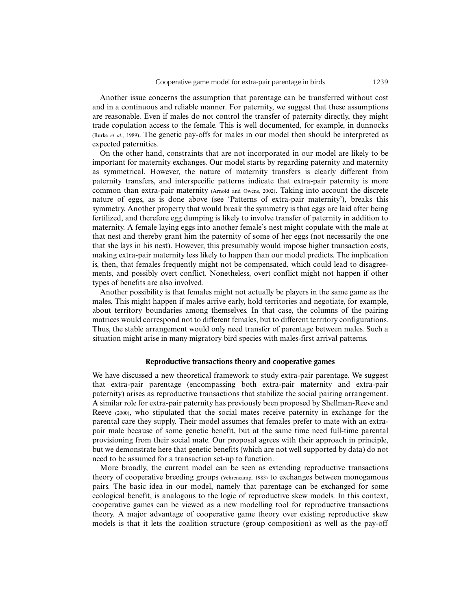Another issue concerns the assumption that parentage can be transferred without cost and in a continuous and reliable manner. For paternity, we suggest that these assumptions are reasonable. Even if males do not control the transfer of paternity directly, they might trade copulation access to the female. This is well documented, for example, in dunnocks (Burke *et al.*, 1989). The genetic pay-offs for males in our model then should be interpreted as expected paternities.

On the other hand, constraints that are not incorporated in our model are likely to be important for maternity exchanges. Our model starts by regarding paternity and maternity as symmetrical. However, the nature of maternity transfers is clearly different from paternity transfers, and interspecific patterns indicate that extra-pair paternity is more common than extra-pair maternity (Arnold and Owens, 2002). Taking into account the discrete nature of eggs, as is done above (see 'Patterns of extra-pair maternity'), breaks this symmetry. Another property that would break the symmetry is that eggs are laid after being fertilized, and therefore egg dumping is likely to involve transfer of paternity in addition to maternity. A female laying eggs into another female's nest might copulate with the male at that nest and thereby grant him the paternity of some of her eggs (not necessarily the one that she lays in his nest). However, this presumably would impose higher transaction costs, making extra-pair maternity less likely to happen than our model predicts. The implication is, then, that females frequently might not be compensated, which could lead to disagreements, and possibly overt conflict. Nonetheless, overt conflict might not happen if other types of benefits are also involved.

Another possibility is that females might not actually be players in the same game as the males. This might happen if males arrive early, hold territories and negotiate, for example, about territory boundaries among themselves. In that case, the columns of the pairing matrices would correspond not to different females, but to different territory configurations. Thus, the stable arrangement would only need transfer of parentage between males. Such a situation might arise in many migratory bird species with males-first arrival patterns.

#### **Reproductive transactions theory and cooperative games**

We have discussed a new theoretical framework to study extra-pair parentage. We suggest that extra-pair parentage (encompassing both extra-pair maternity and extra-pair paternity) arises as reproductive transactions that stabilize the social pairing arrangement. A similar role for extra-pair paternity has previously been proposed by Shellman-Reeve and Reeve (2000), who stipulated that the social mates receive paternity in exchange for the parental care they supply. Their model assumes that females prefer to mate with an extrapair male because of some genetic benefit, but at the same time need full-time parental provisioning from their social mate. Our proposal agrees with their approach in principle, but we demonstrate here that genetic benefits (which are not well supported by data) do not need to be assumed for a transaction set-up to function.

More broadly, the current model can be seen as extending reproductive transactions theory of cooperative breeding groups (Vehrencamp, 1983) to exchanges between monogamous pairs. The basic idea in our model, namely that parentage can be exchanged for some ecological benefit, is analogous to the logic of reproductive skew models. In this context, cooperative games can be viewed as a new modelling tool for reproductive transactions theory. A major advantage of cooperative game theory over existing reproductive skew models is that it lets the coalition structure (group composition) as well as the pay-off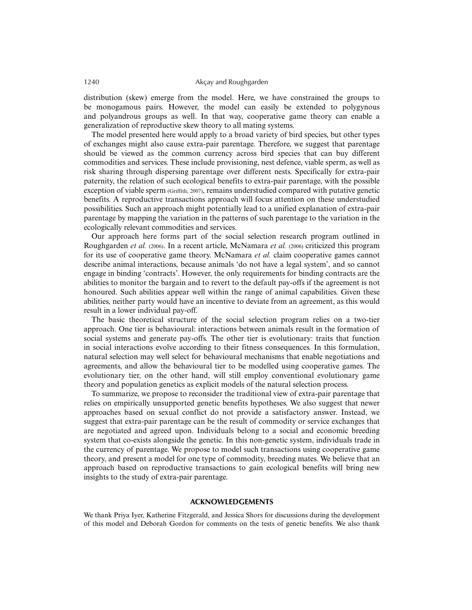distribution (skew) emerge from the model. Here, we have constrained the groups to be monogamous pairs. However, the model can easily be extended to polygynous and polyandrous groups as well. In that way, cooperative game theory can enable a generalization of reproductive skew theory to all mating systems.

The model presented here would apply to a broad variety of bird species, but other types of exchanges might also cause extra-pair parentage. Therefore, we suggest that parentage should be viewed as the common currency across bird species that can buy different commodities and services. These include provisioning, nest defence, viable sperm, as well as risk sharing through dispersing parentage over different nests. Specifically for extra-pair paternity, the relation of such ecological benefits to extra-pair parentage, with the possible exception of viable sperm (Griffith, 2007), remains understudied compared with putative genetic benefits. A reproductive transactions approach will focus attention on these understudied possibilities. Such an approach might potentially lead to a unified explanation of extra-pair parentage by mapping the variation in the patterns of such parentage to the variation in the ecologically relevant commodities and services.

Our approach here forms part of the social selection research program outlined in Roughgarden *et al.* (2006). In a recent article, McNamara *et al.* (2006) criticized this program for its use of cooperative game theory. McNamara *et al.* claim cooperative games cannot describe animal interactions, because animals 'do not have a legal system', and so cannot engage in binding 'contracts'. However, the only requirements for binding contracts are the abilities to monitor the bargain and to revert to the default pay-offs if the agreement is not honoured. Such abilities appear well within the range of animal capabilities. Given these abilities, neither party would have an incentive to deviate from an agreement, as this would result in a lower individual pay-off.

The basic theoretical structure of the social selection program relies on a two-tier approach. One tier is behavioural: interactions between animals result in the formation of social systems and generate pay-offs. The other tier is evolutionary: traits that function in social interactions evolve according to their fitness consequences. In this formulation, natural selection may well select for behavioural mechanisms that enable negotiations and agreements, and allow the behavioural tier to be modelled using cooperative games. The evolutionary tier, on the other hand, will still employ conventional evolutionary game theory and population genetics as explicit models of the natural selection process.

To summarize, we propose to reconsider the traditional view of extra-pair parentage that relies on empirically unsupported genetic benefits hypotheses. We also suggest that newer approaches based on sexual conflict do not provide a satisfactory answer. Instead, we suggest that extra-pair parentage can be the result of commodity or service exchanges that are negotiated and agreed upon. Individuals belong to a social and economic breeding system that co-exists alongside the genetic. In this non-genetic system, individuals trade in the currency of parentage. We propose to model such transactions using cooperative game theory, and present a model for one type of commodity, breeding mates. We believe that an approach based on reproductive transactions to gain ecological benefits will bring new insights to the study of extra-pair parentage.

#### **ACKNOWLEDGEMENTS**

We thank Priya Iyer, Katherine Fitzgerald, and Jessica Shors for discussions during the development of this model and Deborah Gordon for comments on the tests of genetic benefits. We also thank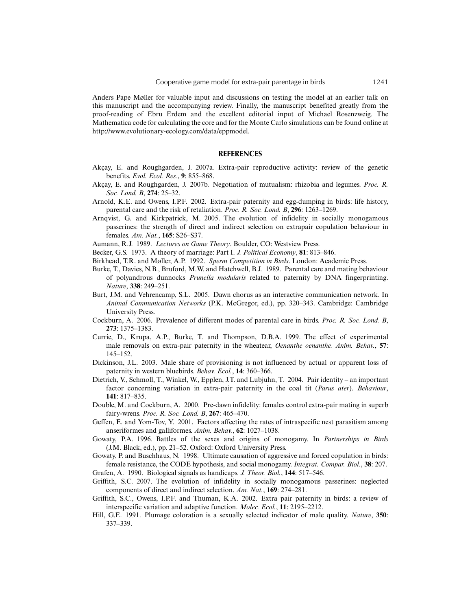Anders Pape Møller for valuable input and discussions on testing the model at an earlier talk on this manuscript and the accompanying review. Finally, the manuscript benefited greatly from the proof-reading of Ebru Erdem and the excellent editorial input of Michael Rosenzweig. The Mathematica code for calculating the core and for the Monte Carlo simulations can be found online at http://www.evolutionary-ecology.com/data/eppmodel.

#### **REFERENCES**

- Akçay, E. and Roughgarden, J. 2007a. Extra-pair reproductive activity: review of the genetic benefits. *Evol. Ecol. Res.*, **9**: 855–868.
- Akçay, E. and Roughgarden, J. 2007b. Negotiation of mutualism: rhizobia and legumes. *Proc. R. Soc. Lond. B*, **274**: 25–32.
- Arnold, K.E. and Owens, I.P.F. 2002. Extra-pair paternity and egg-dumping in birds: life history, parental care and the risk of retaliation. *Proc. R. Soc. Lond. B*, **296**: 1263–1269.
- Arnqvist, G. and Kirkpatrick, M. 2005. The evolution of infidelity in socially monogamous passerines: the strength of direct and indirect selection on extrapair copulation behaviour in females. *Am. Nat.*, **165**: S26–S37.

Aumann, R.J. 1989. *Lectures on Game Theory*. Boulder, CO: Westview Press.

- Becker, G.S. 1973. A theory of marriage: Part I. *J. Political Economy*, **81**: 813–846.
- Birkhead, T.R. and Møller, A.P. 1992. *Sperm Competition in Birds*. London: Academic Press.
- Burke, T., Davies, N.B., Bruford, M.W. and Hatchwell, B.J. 1989. Parental care and mating behaviour of polyandrous dunnocks *Prunella modularis* related to paternity by DNA fingerprinting. *Nature*, **338**: 249–251.
- Burt, J.M. and Vehrencamp, S.L. 2005. Dawn chorus as an interactive communication network. In *Animal Communication Networks* (P.K. McGregor, ed.), pp. 320–343. Cambridge: Cambridge University Press.
- Cockburn, A. 2006. Prevalence of different modes of parental care in birds. *Proc. R. Soc. Lond. B*, **273**: 1375–1383.
- Currie, D., Krupa, A.P., Burke, T. and Thompson, D.B.A. 1999. The effect of experimental male removals on extra-pair paternity in the wheatear, *Oenanthe oenanthe. Anim. Behav.*, **57**: 145–152.
- Dickinson, J.L. 2003. Male share of provisioning is not influenced by actual or apparent loss of paternity in western bluebirds. *Behav. Ecol.*, **14**: 360–366.
- Dietrich, V., Schmoll, T., Winkel, W., Epplen, J.T. and Lubjuhn, T. 2004. Pair identity an important factor concerning variation in extra-pair paternity in the coal tit (*Parus ater*). *Behaviour*, **141**: 817–835.
- Double, M. and Cockburn, A. 2000. Pre-dawn infidelity: females control extra-pair mating in superb fairy-wrens. *Proc. R. Soc. Lond. B*, **267**: 465–470.
- Geffen, E. and Yom-Tov, Y. 2001. Factors affecting the rates of intraspecific nest parasitism among anseriformes and galliformes. *Anim. Behav.*, **62**: 1027–1038.
- Gowaty, P.A. 1996. Battles of the sexes and origins of monogamy. In *Partnerships in Birds* (J.M. Black, ed.), pp. 21–52. Oxford: Oxford University Press.
- Gowaty, P. and Buschhaus, N. 1998. Ultimate causation of aggressive and forced copulation in birds: female resistance, the CODE hypothesis, and social monogamy. *Integrat. Compar. Biol.*, **38**: 207.
- Grafen, A. 1990. Biological signals as handicaps. *J. Theor. Biol.*, **144**: 517–546.
- Griffith, S.C. 2007. The evolution of infidelity in socially monogamous passerines: neglected components of direct and indirect selection. *Am. Nat.*, **169**: 274–281.
- Griffith, S.C., Owens, I.P.F. and Thuman, K.A. 2002. Extra pair paternity in birds: a review of interspecific variation and adaptive function. *Molec. Ecol.*, **11**: 2195–2212.
- Hill, G.E. 1991. Plumage coloration is a sexually selected indicator of male quality. *Nature*, **350**: 337–339.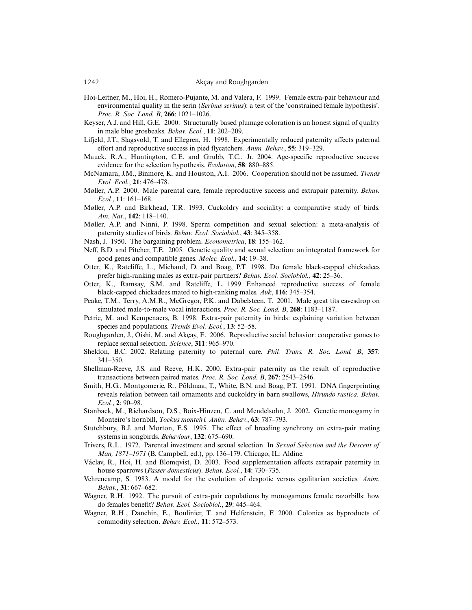- Hoi-Leitner, M., Hoi, H., Romero-Pujante, M. and Valera, F. 1999. Female extra-pair behaviour and environmental quality in the serin (*Serinus serinus*): a test of the 'constrained female hypothesis'. *Proc. R. Soc. Lond. B*, **266**: 1021–1026.
- Keyser, A.J. and Hill, G.E. 2000. Structurally based plumage coloration is an honest signal of quality in male blue grosbeaks. *Behav. Ecol.*, **11**: 202–209.
- Lifjeld, J.T., Slagsvold, T. and Ellegren, H. 1998. Experimentally reduced paternity affects paternal effort and reproductive success in pied flycatchers. *Anim. Behav.*, **55**: 319–329.
- Mauck, R.A., Huntington, C.E. and Grubb, T.C., Jr. 2004. Age-specific reproductive success: evidence for the selection hypothesis. *Evolution*, **58**: 880–885.
- McNamara, J.M., Binmore, K. and Houston, A.I. 2006. Cooperation should not be assumed. *Trends Evol. Ecol.*, **21**: 476–478.
- Møller, A.P. 2000. Male parental care, female reproductive success and extrapair paternity. *Behav. Ecol.*, **11**: 161–168.
- Møller, A.P. and Birkhead, T.R. 1993. Cuckoldry and sociality: a comparative study of birds. *Am. Nat.*, **142**: 118–140.
- Møller, A.P. and Ninni, P. 1998. Sperm competition and sexual selection: a meta-analysis of paternity studies of birds. *Behav. Ecol. Sociobiol.*, **43**: 345–358.
- Nash, J. 1950. The bargaining problem. *Econometrica*, **18**: 155–162.
- Neff, B.D. and Pitcher, T.E. 2005. Genetic quality and sexual selection: an integrated framework for good genes and compatible genes. *Molec. Ecol.*, **14**: 19–38.
- Otter, K., Ratcliffe, L., Michaud, D. and Boag, P.T. 1998. Do female black-capped chickadees prefer high-ranking males as extra-pair partners? *Behav. Ecol. Sociobiol.*, **42**: 25–36.
- Otter, K., Ramsay, S.M. and Ratcliffe, L. 1999. Enhanced reproductive success of female black-capped chickadees mated to high-ranking males. *Auk*, **116**: 345–354.
- Peake, T.M., Terry, A.M.R., McGregor, P.K. and Dabelsteen, T. 2001. Male great tits eavesdrop on simulated male-to-male vocal interactions. *Proc. R. Soc. Lond. B*, **268**: 1183–1187.
- Petrie, M. and Kempenaers, B. 1998. Extra-pair paternity in birds: explaining variation between species and populations. *Trends Evol. Ecol.*, **13**: 52–58.
- Roughgarden, J., Oishi, M. and Akçay, E. 2006. Reproductive social behavior: cooperative games to replace sexual selection. *Science*, **311**: 965–970.
- Sheldon, B.C. 2002. Relating paternity to paternal care. *Phil. Trans. R. Soc. Lond. B*, **357**: 341–350.
- Shellman-Reeve, J.S. and Reeve, H.K. 2000. Extra-pair paternity as the result of reproductive transactions between paired mates. *Proc. R. Soc. Lond. B*, **267**: 2543–2546.
- Smith, H.G., Montgomerie, R., Põldmaa, T., White, B.N. and Boag, P.T. 1991. DNA fingerprinting reveals relation between tail ornaments and cuckoldry in barn swallows, *Hirundo rustica. Behav. Ecol.*, **2**: 90–98.
- Stanback, M., Richardson, D.S., Boix-Hinzen, C. and Mendelsohn, J. 2002. Genetic monogamy in Monteiro's hornbill, *Tockus monteiri. Anim. Behav.*, **63**: 787–793.
- Stutchbury, B.J. and Morton, E.S. 1995. The effect of breeding synchrony on extra-pair mating systems in songbirds. *Behaviour*, **132**: 675–690.
- Trivers, R.L. 1972. Parental investment and sexual selection. In *Sexual Selection and the Descent of Man, 1871–1971* (B. Campbell, ed.), pp. 136–179. Chicago, IL: Aldine.
- Václav, R., Hoi, H. and Blomqvist, D. 2003. Food supplementation affects extrapair paternity in house sparrows (*Passer domesticus*). *Behav. Ecol.*, **14**: 730–735.
- Vehrencamp, S. 1983. A model for the evolution of despotic versus egalitarian societies. *Anim. Behav.*, **31**: 667–682.
- Wagner, R.H. 1992. The pursuit of extra-pair copulations by monogamous female razorbills: how do females benefit? *Behav. Ecol. Sociobiol*., **29**: 445–464.
- Wagner, R.H., Danchin, E., Boulinier, T. and Helfenstein, F. 2000. Colonies as byproducts of commodity selection. *Behav. Ecol.*, **11**: 572–573.